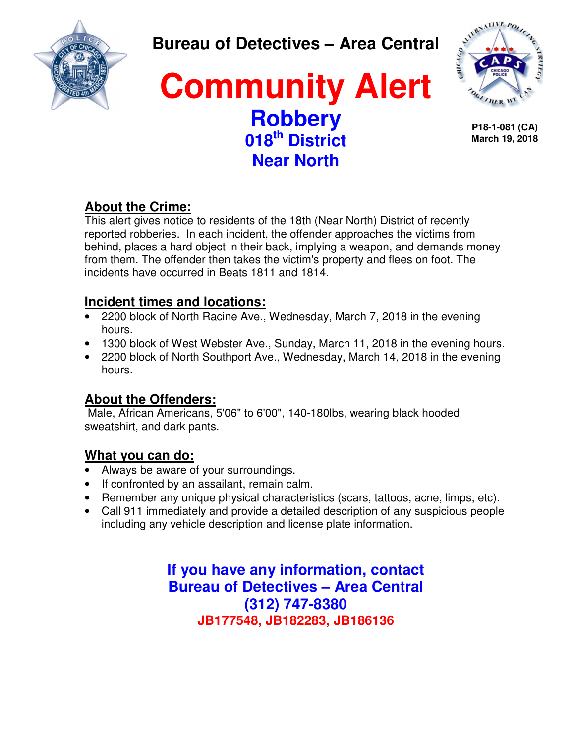

### **Bureau of Detectives – Area Central**

## **Community Alert Robbery 018th District Near North**



**P18-1-081 (CA) March 19, 2018**

### **About the Crime:**

This alert gives notice to residents of the 18th (Near North) District of recently reported robberies. In each incident, the offender approaches the victims from behind, places a hard object in their back, implying a weapon, and demands money from them. The offender then takes the victim's property and flees on foot. The incidents have occurred in Beats 1811 and 1814.

### **Incident times and locations:**

- 2200 block of North Racine Ave., Wednesday, March 7, 2018 in the evening hours.
- 1300 block of West Webster Ave., Sunday, March 11, 2018 in the evening hours.
- 2200 block of North Southport Ave., Wednesday, March 14, 2018 in the evening hours.

### **About the Offenders:**

 Male, African Americans, 5'06" to 6'00", 140-180lbs, wearing black hooded sweatshirt, and dark pants.

### **What you can do:**

- Always be aware of your surroundings.
- If confronted by an assailant, remain calm.
- Remember any unique physical characteristics (scars, tattoos, acne, limps, etc).
- Call 911 immediately and provide a detailed description of any suspicious people including any vehicle description and license plate information.

**If you have any information, contact Bureau of Detectives – Area Central (312) 747-8380 JB177548, JB182283, JB186136**